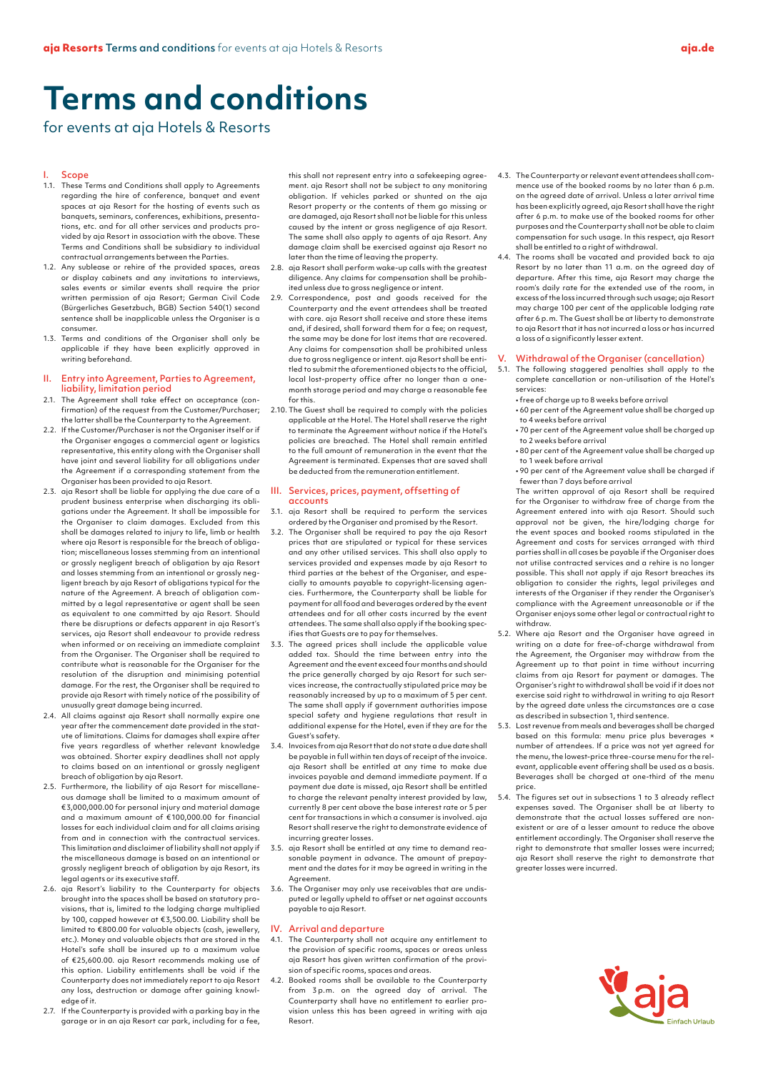# **Terms and conditions**

for events at aja Hotels & Resorts

# **Scope**

- 1.1. These Terms and Conditions shall apply to Agreements regarding the hire of conference, banquet and event spaces at aja Resort for the hosting of events such as banquets, seminars, conferences, exhibitions, presentations, etc. and for all other services and products provided by aja Resort in association with the above. These Terms and Conditions shall be subsidiary to individual contractual arrangements between the Parties.
- 1.2. Any sublease or rehire of the provided spaces, areas or display cabinets and any invitations to interviews, sales events or similar events shall require the prior written permission of aja Resort; German Civil Code (Bürgerliches Gesetzbuch, BGB) Section 540(1) second sentence shall be inapplicable unless the Organiser is a consumer.
- 1.3. Terms and conditions of the Organiser shall only be applicable if they have been explicitly approved in writing beforehand.

## II. Entry into Agreement, Parties to Agreement, liability, limitation period

- 2.1. The Agreement shall take effect on acceptance (confirmation) of the request from the Customer/Purchaser; the latter shall be the Counterparty to the Agreement.
- 2.2. If the Customer/Purchaser is not the Organiser itself or if the Organiser engages a commercial agent or logistics representative, this entity along with the Organiser shall have joint and several liability for all obligations under the Agreement if a corresponding statement from the Organiser has been provided to aja Resort.
- 2.3. aja Resort shall be liable for applying the due care of a prudent business enterprise when discharging its obligations under the Agreement. It shall be impossible for the Organiser to claim damages. Excluded from this shall be damages related to injury to life, limb or health where aja Resort is responsible for the breach of obligation; miscellaneous losses stemming from an intentional or grossly negligent breach of obligation by aja Resort and losses stemming from an intentional or grossly negligent breach by aja Resort of obligations typical for the nature of the Agreement. A breach of obligation committed by a legal representative or agent shall be seen as equivalent to one committed by aja Resort. Should there be disruptions or defects apparent in aja Resort's services, aja Resort shall endeavour to provide redress when informed or on receiving an immediate complaint from the Organiser. The Organiser shall be required to contribute what is reasonable for the Organiser for the resolution of the disruption and minimising potential damage. For the rest, the Organiser shall be required to provide aja Resort with timely notice of the possibility of unusually great damage being incurred.
- 2.4. All claims against aja Resort shall normally expire one year after the commencement date provided in the statute of limitations. Claims for damages shall expire after five years regardless of whether relevant knowledge was obtained. Shorter expiry deadlines shall not apply to claims based on an intentional or grossly negligent breach of obligation by aja Resort.
- 2.5. Furthermore, the liability of aja Resort for miscellaneous damage shall be limited to a maximum amount of €3,000,000.00 for personal injury and material damage and a maximum amount of €100,000.00 for financial losses for each individual claim and for all claims arising from and in connection with the contractual services. This limitation and disclaimer of liability shall not apply if the miscellaneous damage is based on an intentional or grossly negligent breach of obligation by aja Resort, its legal agents or its executive staff.
- 2.6. aja Resort's liability to the Counterparty for objects brought into the spaces shall be based on statutory provisions, that is, limited to the lodging charge multiplied by 100, capped however at €3,500.00. Liability shall be limited to €800.00 for valuable objects (cash, jewellery, etc.). Money and valuable objects that are stored in the Hotel's safe shall be insured up to a maximum value of €25,600.00. aja Resort recommends making use of this option. Liability entitlements shall be void if the Counterparty does not immediately report to aja Resort any loss, destruction or damage after gaining knowledge of it.
- 2.7. If the Counterparty is provided with a parking bay in the garage or in an aja Resort car park, including for a fee,

this shall not represent entry into a safekeeping agreement. aja Resort shall not be subject to any monitoring obligation. If vehicles parked or shunted on the aja Resort property or the contents of them go missing or are damaged, aja Resort shall not be liable for this unless caused by the intent or gross negligence of aja Resort. The same shall also apply to agents of aja Resort. Any damage claim shall be exercised against aja Resort no later than the time of leaving the property.

- 2.8. aja Resort shall perform wake-up calls with the greatest diligence. Any claims for compensation shall be prohibited unless due to gross negligence or intent.
- 2.9. Correspondence, post and goods received for the Counterparty and the event attendees shall be treated with care. aja Resort shall receive and store these items and, if desired, shall forward them for a fee; on request, the same may be done for lost items that are recovered. Any claims for compensation shall be prohibited unless due to gross negligence or intent. aja Resort shall be entitled to submit the aforementioned objects to the official, local lost-property office after no longer than a onemonth storage period and may charge a reasonable fee for this.
- 2.10. The Guest shall be required to comply with the policies applicable at the Hotel. The Hotel shall reserve the right to terminate the Agreement without notice if the Hotel's policies are breached. The Hotel shall remain entitled to the full amount of remuneration in the event that the Agreement is terminated. Expenses that are saved shall be deducted from the remuneration entitlement.

## III. Services, prices, payment, offsetting of accounts

- 3.1. aja Resort shall be required to perform the services ordered by the Organiser and promised by the Resort.
- 3.2. The Organiser shall be required to pay the aja Resort prices that are stipulated or typical for these services and any other utilised services. This shall also apply to services provided and expenses made by aja Resort to third parties at the behest of the Organiser, and especially to amounts payable to copyright-licensing agencies. Furthermore, the Counterparty shall be liable for payment for all food and beverages ordered by the event attendees and for all other costs incurred by the event attendees. The same shall also apply if the booking specifies that Guests are to pay for themselves.
- 3.3. The agreed prices shall include the applicable value added tax. Should the time between entry into the Agreement and the event exceed four months and should the price generally charged by aja Resort for such services increase, the contractually stipulated price may be reasonably increased by up to a maximum of 5 per cent. The same shall apply if government authorities impose special safety and hygiene regulations that result in additional expense for the Hotel, even if they are for the Guest's safety.
- 3.4. Invoices from aja Resort that do not state a due date shall be payable in full within ten days of receipt of the invoice. aja Resort shall be entitled at any time to make due invoices payable and demand immediate payment. If a payment due date is missed, aja Resort shall be entitled to charge the relevant penalty interest provided by law, currently 8 per cent above the base interest rate or 5 per cent for transactions in which a consumer is involved. aja Resort shall reserve the right to demonstrate evidence of incurring greater losses.
- 3.5. aja Resort shall be entitled at any time to demand reasonable payment in advance. The amount of prepayment and the dates for it may be agreed in writing in the Agreement.
- 3.6. The Organiser may only use receivables that are undisputed or legally upheld to offset or net against accounts payable to aja Resort.

# IV. Arrival and departure

- 4.1. The Counterparty shall not acquire any entitlement to the provision of specific rooms, spaces or areas unless aja Resort has given written confirmation of the provision of specific rooms, spaces and areas.
- 4.2. Booked rooms shall be available to the Counterparty from 3 p.m. on the agreed day of arrival. The Counterparty shall have no entitlement to earlier provision unless this has been agreed in writing with aja Resort.
- 4.3. The Counterparty or relevant event attendees shall commence use of the booked rooms by no later than 6 p.m. on the agreed date of arrival. Unless a later arrival time has been explicitly agreed, aja Resort shall have the right after 6 p.m. to make use of the booked rooms for other purposes and the Counterparty shall not be able to claim compensation for such usage. In this respect, aja Resort shall be entitled to a right of withdrawal.
- 4.4. The rooms shall be vacated and provided back to aja Resort by no later than 11 a.m. on the agreed day of departure. After this time, aja Resort may charge the room's daily rate for the extended use of the room, in excess of the loss incurred through such usage; aja Resort may charge 100 per cent of the applicable lodging rate after 6 p.m. The Guest shall be at liberty to demonstrate to aja Resort that it has not incurred a loss or has incurred a loss of a significantly lesser extent.

# V. Withdrawal of the Organiser (cancellation)

- 5.1. The following staggered penalties shall apply to the complete cancellation or non-utilisation of the Hotel's services:
	- free of charge up to 8 weeks before arrival • 60 per cent of the Agreement value shall be charged up to 4 weeks before arrival
	- 70 per cent of the Agreement value shall be charged up to 2 weeks before arrival
	- 80 per cent of the Agreement value shall be charged up to 1 week before arrival
	- 90 per cent of the Agreement value shall be charged if fewer than 7 days before arrival

The written approval of aja Resort shall be required for the Organiser to withdraw free of charge from the Agreement entered into with aja Resort. Should such approval not be given, the hire/lodging charge for the event spaces and booked rooms stipulated in the Agreement and costs for services arranged with third parties shall in all cases be payable if the Organiser does not utilise contracted services and a rehire is no longer possible. This shall not apply if aja Resort breaches its obligation to consider the rights, legal privileges and interests of the Organiser if they render the Organiser's compliance with the Agreement unreasonable or if the Organiser enjoys some other legal or contractual right to withdraw.

- 5.2. Where aja Resort and the Organiser have agreed in writing on a date for free-of-charge withdrawal from the Agreement, the Organiser may withdraw from the Agreement up to that point in time without incurring claims from aja Resort for payment or damages. The Organiser's right to withdrawal shall be void if it does not exercise said right to withdrawal in writing to aja Resort by the agreed date unless the circumstances are a case as described in subsection 1, third sentence.
- 5.3. Lost revenue from meals and beverages shall be charged based on this formula: menu price plus beverages number of attendees. If a price was not yet agreed for the menu, the lowest-price three-course menu for the relevant, applicable event offering shall be used as a basis. Beverages shall be charged at one-third of the menu price.
- 5.4. The figures set out in subsections 1 to 3 already reflect expenses saved. The Organiser shall be at liberty to demonstrate that the actual losses suffered are non-existent or are of a lesser amount to reduce the above entitlement accordingly. The Organiser shall reserve the right to demonstrate that smaller losses were incurred; aja Resort shall reserve the right to demonstrate that greater losses were incurred.